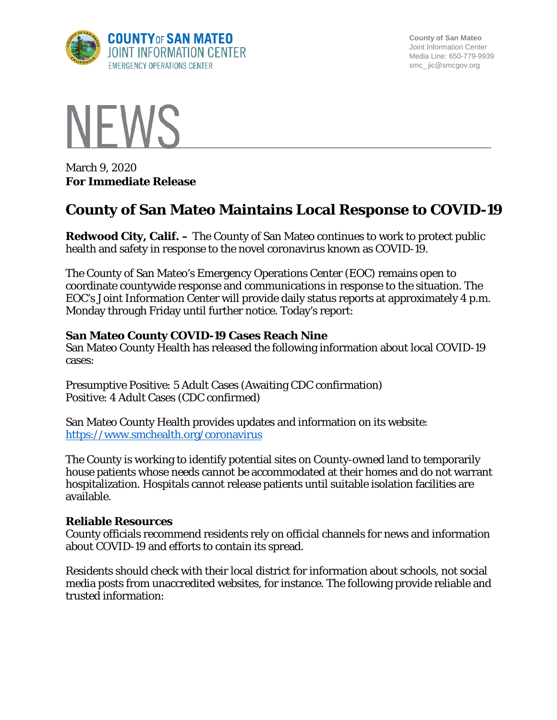

**County of San Mateo** Joint Information Center Media Line: 650-779-9939 smc\_ jic@smcgov.org



March 9, 2020 **For Immediate Release**

# **County of San Mateo Maintains Local Response to COVID-19**

**Redwood City, Calif. –** The County of San Mateo continues to work to protect public health and safety in response to the novel coronavirus known as COVID-19.

The County of San Mateo's Emergency Operations Center (EOC) remains open to coordinate countywide response and communications in response to the situation. The EOC's Joint Information Center will provide daily status reports at approximately 4 p.m. Monday through Friday until further notice. Today's report:

## **San Mateo County COVID-19 Cases Reach Nine**

San Mateo County Health has released the following information about local COVID-19 cases:

Presumptive Positive: 5 Adult Cases (Awaiting CDC confirmation) Positive: 4 Adult Cases (CDC confirmed)

San Mateo County Health provides updates and information on its website: <https://www.smchealth.org/coronavirus>

The County is working to identify potential sites on County-owned land to temporarily house patients whose needs cannot be accommodated at their homes and do not warrant hospitalization. Hospitals cannot release patients until suitable isolation facilities are available.

### **Reliable Resources**

County officials recommend residents rely on official channels for news and information about COVID-19 and efforts to contain its spread.

Residents should check with their local district for information about schools, not social media posts from unaccredited websites, for instance. The following provide reliable and trusted information: